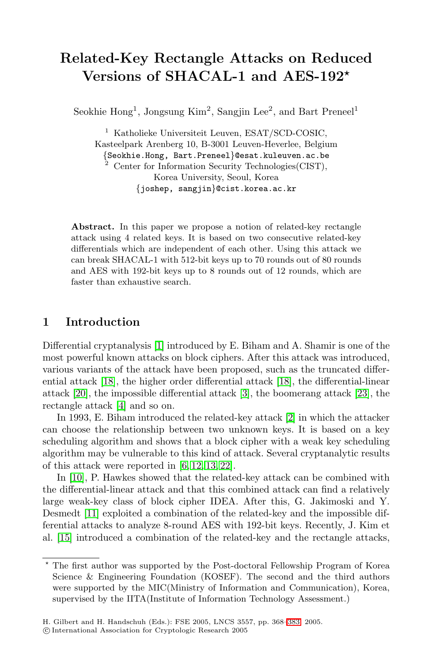# **Related-Key Rectangle Attacks on Reduced Versions of SHACAL-1 and AES-192**

Seokhie Hong<sup>1</sup>, Jongsung Kim<sup>2</sup>, Sangjin Lee<sup>2</sup>, and Bart Preneel<sup>1</sup>

<sup>1</sup> Katholieke Universiteit Leuven, ESAT/SCD-COSIC, Kasteelpark Arenberg 10, B-3001 Leuven-Heverlee, Belgium *{*Seokhie.Hong, Bart.Preneel*}*@esat.kuleuven.ac.be <sup>2</sup> Center for Information Security Technologies(CIST), Korea University, Seoul, Korea *{*joshep, sangjin*}*@cist.korea.ac.kr

**Abstract.** In this paper we propose a notion of related-key rectangle attack using 4 related keys. It is based on two consecutive related-key differentials which are independent of each other. Using this attack we can break SHACAL-1 with 512-bit keys up to 70 rounds out of 80 rounds and AES with 192-bit keys up to 8 rounds out of 12 rounds, which are faster than exhaustive search.

### **1 Introduction**

Differential cryptanalysis [\[1\]](#page-12-0) introduced by E. Biham and A. Shamir is one of the most powerful known attacks on block ciphers. After this attack was introduced, various variants of the attack have been proposed, such as the truncated differential attack [\[18\]](#page-13-0), the higher order differential attack [\[18\]](#page-13-0), the differential-linear attack [\[20\]](#page-13-1), the impossible differential attack [\[3\]](#page-12-1), the boomerang attack [\[23\]](#page-13-2), the rectangle attack [\[4\]](#page-12-2) and so on.

In 1993, E. Biham introduced the related-key attack [\[2\]](#page-12-3) in which the attacker can choose the relationship between two unknown keys. It is based on a key scheduling algorithm and shows that a block cipher with a weak key scheduling algorithm may be vulnerable to this kind of attack. Several cryptanalytic results of this attack were reported in [\[6,](#page-12-4) [12,](#page-12-5) [13,](#page-13-3) [22\]](#page-13-4).

In [\[10\]](#page-12-6), P. Hawkes showed that the related-key attack can be combined with the differential-linear attack and that this combined attack can find a relatively large weak-key class of block cipher IDEA. After this, G. Jakimoski and Y. Desmedt [\[11\]](#page-12-7) exploited a combination of the related-key and the impossible differential attacks to analyze 8-round AES with 192-bit keys. Recently, J. Kim et al. [\[15\]](#page-13-5) introduced a combination of the related-key and the rectangle attacks,

<sup>\*</sup> The first author was supported by the Post-doctoral Fellowship Program of Korea Science & Engineering Foundation (KOSEF). The second and the third authors were supported by the MIC(Ministry of Information and Communication), Korea, supervised by the IITA(Institute of Information Technology Assessment.)

c International Association for Cryptologic Research 2005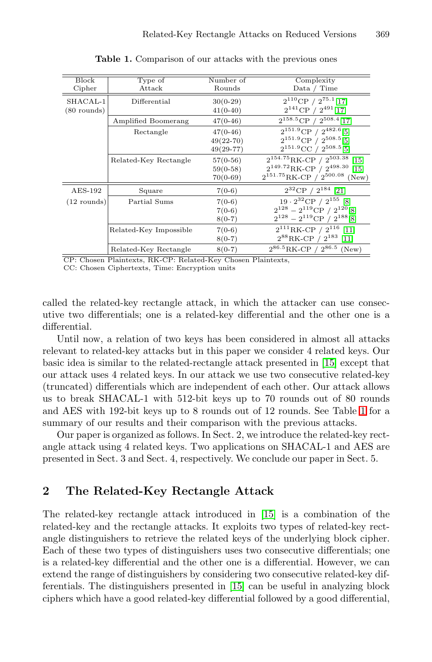<span id="page-1-0"></span>

| Block<br>Cipher           | Type of<br>Attack      | Number of<br>Rounds                        | Complexity<br>Data / Time                                                                                                          |
|---------------------------|------------------------|--------------------------------------------|------------------------------------------------------------------------------------------------------------------------------------|
| SHACAL-1<br>$(80$ rounds) | Differential           | $30(0-29)$<br>$41(0-40)$                   | $2^{110}$ CP / $2^{75.1}$ [17]<br>$2^{141}$ CP / $2^{491}$ [17]                                                                    |
|                           | Amplified Boomerang    | $47(0-46)$                                 | $2^{158.5}$ CP / $2^{508.4}$ [17]                                                                                                  |
|                           | Rectangle              | $47(0-46)$<br>$49(22 - 70)$<br>$49(29-77)$ | $2^{151.9}$ CP / $2^{482.6}$ [5]<br>$2^{151.9}$ CP $/2^{508.5}$ [5]<br>$2^{151.9}$ CC / $2^{508.5}$ [5]                            |
|                           | Related-Key Rectangle  | $57(0-56)$<br>$59(0-58)$<br>$70(0-69)$     | $2^{154.75}$ RK-CP / $2^{503.38}$<br>$[15]$<br>$2^{149.72}$ RK-CP $/2^{498.30}$ [15]<br>$2^{151.75}$ RK-CP / $2^{500.08}$<br>(New) |
| $AES-192$                 | Square                 | $7(0-6)$                                   | $2^{32}$ CP / $2^{184}$ [21]                                                                                                       |
| $(12$ rounds)             | Partial Sums           | $7(0-6)$<br>$7(0-6)$<br>$8(0-7)$           | $19 \cdot 2^{32}$ CP / $2^{155}$ [8]<br>$2^{128} - 2^{119}$ CP / $2^{120}$ [8]<br>$2^{128} - 2^{119}$ CP / $2^{188}$ [8]           |
|                           | Related-Key Impossible | $7(0-6)$<br>$8(0-7)$                       | $2^{111}$ RK-CP / $2^{116}$ [11]<br>$2^{88}$ RK-CP / $2^{183}$ [11]                                                                |
|                           | Related-Key Rectangle  | $8(0-7)$                                   | $2^{86.5}$ RK-CP / $2^{86.5}$ (New)                                                                                                |

**Table 1.** Comparison of our attacks with the previous ones

CP: Chosen Plaintexts, RK-CP: Related-Key Chosen Plaintexts,

CC: Chosen Ciphertexts, Time: Encryption units

called the related-key rectangle attack, in which the attacker can use consecutive two differentials; one is a related-key differential and the other one is a differential.

Until now, a relation of two keys has been considered in almost all attacks relevant to related-key attacks but in this paper we consider 4 related keys. Our basic idea is similar to the related-rectangle attack presented in [\[15\]](#page-13-5) except that our attack uses 4 related keys. In our attack we use two consecutive related-key (truncated) differentials which are independent of each other. Our attack allows us to break SHACAL-1 with 512-bit keys up to 70 rounds out of 80 rounds and AES with 192-bit keys up to 8 rounds out of 12 rounds. See Table [1](#page-1-0) for a summary of our results and their comparison with the previous attacks.

Our paper is organized as follows. In Sect. 2, we introduce the related-key rectangle attack using 4 related keys. Two applications on SHACAL-1 and AES are presented in Sect. 3 and Sect. 4, respectively. We conclude our paper in Sect. 5.

### **2 The Related-Key Rectangle Attack**

The related-key rectangle attack introduced in [\[15\]](#page-13-5) is a combination of the related-key and the rectangle attacks. It exploits two types of related-key rectangle distinguishers to retrieve the related keys of the underlying block cipher. Each of these two types of distinguishers uses two consecutive differentials; one is a related-key differential and the other one is a differential. However, we can extend the range of distinguishers by considering two consecutive related-key differentials. The distinguishers presented in [\[15\]](#page-13-5) can be useful in analyzing block ciphers which have a good related-key differential followed by a good differential,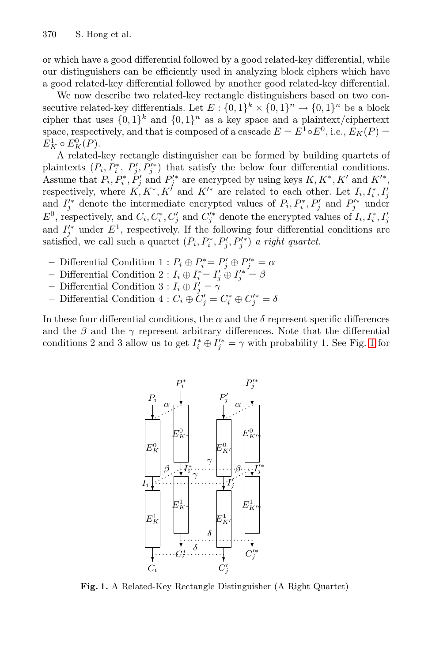or which have a good differential followed by a good related-key differential, while our distinguishers can be efficiently used in analyzing block ciphers which have a good related-key differential followed by another good related-key differential.

We now describe two related-key rectangle distinguishers based on two consecutive related-key differentials. Let  $E: \{0,1\}^k \times \{0,1\}^n \to \{0,1\}^n$  be a block cipher that uses  $\{0,1\}^k$  and  $\{0,1\}^n$  as a key space and a plaintext/ciphertext space, respectively, and that is composed of a cascade  $E = E^1 \circ E^0$ , i.e.,  $E_K(P) =$  $E_K^1 \circ E_K^0(P)$ .

A related-key rectangle distinguisher can be formed by building quartets of plaintexts  $(P_i, P_i^*, P_j', P_j'^*)$  that satisfy the below four differential conditions. Assume that  $P_i, P_i^*, P_j'$  and  $P_j'^*$  are encrypted by using keys  $K, K^*, K'$  and  $K'^*,$ respectively, where  $K, K^*, K^{\dagger}$  and  $K^{\prime *}$  are related to each other. Let  $I_i, I_i^*, I_j^{\dagger}$ and  $I_j^{\prime *}$  denote the intermediate encrypted values of  $P_i, P_i^*, P_j'$  and  $P_j^{\prime *}$  under  $E^0$ , respectively, and  $C_i, C_i^*, C_j'$  and  $C_j'^*$  denote the encrypted values of  $I_i, I_i^*, I_j'$ and  $I_j^{\prime*}$  under  $E^1$ , respectively. If the following four differential conditions are satisfied, we call such a quartet  $(P_i, P_i^*, P_j', P_j'^*)$  *a right quartet.* 

- $-$  Differential Condition 1 :  $P_i ⊕ P'_i = P'_j ⊕ P'_j^* = α$
- **−** Differential Condition 2 :  $I_i \oplus I_i^* = I_j' \oplus I_j'^* = \beta$
- **–** Differential Condition  $3: I_i \oplus I_j' = \gamma$
- $-$  Differential Condition 4 :  $C_i ⊕ C'_j = C_i^* ⊕ C_j'^* = δ$

In these four differential conditions, the  $\alpha$  and the  $\delta$  represent specific differences and the  $\beta$  and the  $\gamma$  represent arbitrary differences. Note that the differential conditions 2 and 3 allow us to get  $I_i^* \oplus I_j^{\prime *} = \gamma$  with probability [1](#page-2-0). See Fig. 1 for



<span id="page-2-0"></span>**Fig. 1.** A Related-Key Rectangle Distinguisher (A Right Quartet)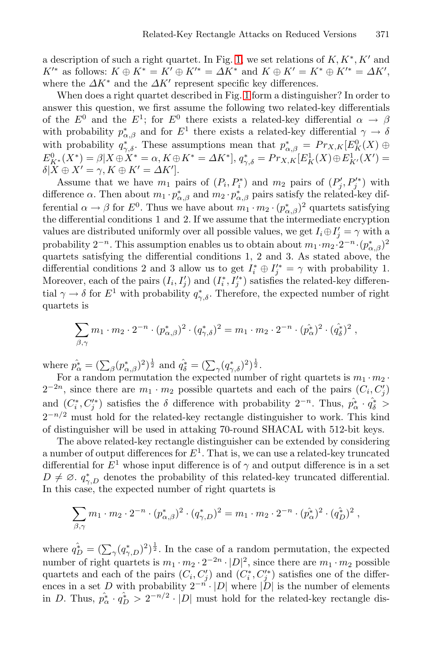a description of such a right quartet. In Fig. [1,](#page-2-0) we set relations of  $K, K^*, K'$  and  $K'^*$  as follows:  $K \oplus K^* = K' \oplus K'^* = \Delta K^*$  and  $K \oplus K' = K^* \oplus K'^* = \Delta K'$ , where the  $\Delta K^*$  and the  $\Delta K'$  represent specific key differences.

When does a right quartet described in Fig. [1](#page-2-0) form a distinguisher? In order to answer this question, we first assume the following two related-key differentials of the  $E^0$  and the  $E^1$ ; for  $E^0$  there exists a related-key differential  $\alpha \rightarrow \beta$ with probability  $p^*_{\alpha,\beta}$  and for  $E^1$  there exists a related-key differential  $\gamma \to \delta$ with probability  $q_{\gamma,\delta}^*$ . These assumptions mean that  $p_{\alpha,\beta}^* = Pr_{X,K}[E_K^0(X) \oplus$  $E_{K^*}^0(X^*) = \beta | X \oplus X^* = \alpha, K \oplus K^* = \Delta K^* |, q_{\gamma, \delta}^* = Pr_{X, K} [E_K^1(X) \oplus E_{K'}^1(X')] =$  $\delta | X \oplus X' = \gamma, K \oplus K' = \Delta K'$ .

Assume that we have  $m_1$  pairs of  $(P_i, P_i^*)$  and  $m_2$  pairs of  $(P_j', P_j'^*)$  with difference  $\alpha$ . Then about  $m_1 \cdot p^*_{\alpha,\beta}$  and  $m_2 \cdot p^*_{\alpha,\beta}$  pairs satisfy the related-key differential  $\alpha \to \beta$  for  $E^0$ . Thus we have about  $m_1 \cdot m_2 \cdot (p^*_{\alpha,\beta})^2$  quartets satisfying the differential conditions 1 and 2. If we assume that the intermediate encryption values are distributed uniformly over all possible values, we get  $I_i \oplus I'_j = \gamma$  with a probability  $2^{-n}$ . This assumption enables us to obtain about  $m_1 \cdot m_2 \cdot 2^{-n} \cdot (p_{\alpha,\beta}^*)^2$ quartets satisfying the differential conditions 1, 2 and 3. As stated above, the differential conditions 2 and 3 allow us to get  $I_i^* \oplus I_j'^* = \gamma$  with probability 1. Moreover, each of the pairs  $(I_i, I'_j)$  and  $(I_i^*, I'^*_j)$  satisfies the related-key differential  $\gamma \to \delta$  for  $E^1$  with probability  $q^*_{\gamma,\delta}$ . Therefore, the expected number of right quartets is

$$
\sum_{\beta,\gamma} m_1 \cdot m_2 \cdot 2^{-n} \cdot (p_{\alpha,\beta}^*)^2 \cdot (q_{\gamma,\delta}^*)^2 = m_1 \cdot m_2 \cdot 2^{-n} \cdot (p_{\alpha}^*)^2 \cdot (q_{\delta}^*)^2,
$$

where  $\hat{p}_{\alpha}^{*} = (\sum_{\beta} (p_{\alpha,\beta}^{*})^{2})^{\frac{1}{2}}$  and  $\hat{q}_{\delta}^{*} = (\sum_{\gamma} (q_{\gamma,\delta}^{*})^{2})^{\frac{1}{2}}$ .

For a random permutation the expected number of right quartets is  $m_1 \cdot m_2 \cdot$  $2^{-2n}$ , since there are  $m_1 \cdot m_2$  possible quartets and each of the pairs  $(C_i, C'_j)$ and  $(C_i^*, C_j'^*)$  satisfies the  $\delta$  difference with probability  $2^{-n}$ . Thus,  $\hat{p}_{\alpha}^* \cdot \hat{q}_{\delta}^*$  >  $2^{-n/2}$  must hold for the related-key rectangle distinguisher to work. This kind of distinguisher will be used in attaking 70-round SHACAL with 512-bit keys.

The above related-key rectangle distinguisher can be extended by considering a number of output differences for  $E^1$ . That is, we can use a related-key truncated differential for  $E^1$  whose input difference is of  $\gamma$  and output difference is in a set  $D \neq \emptyset$ .  $q_{\gamma,D}^*$  denotes the probability of this related-key truncated differential. In this case, the expected number of right quartets is

$$
\sum_{\beta,\gamma} m_1 \cdot m_2 \cdot 2^{-n} \cdot (p_{\alpha,\beta}^*)^2 \cdot (q_{\gamma,D}^*)^2 = m_1 \cdot m_2 \cdot 2^{-n} \cdot (p_{\alpha}^*)^2 \cdot (q_D^*)^2 ,
$$

where  $q_D^* = (\sum_{\gamma} (q_{\gamma,D}^*)^2)^{\frac{1}{2}}$ . In the case of a random permutation, the expected number of right quartets is  $m_1 \cdot m_2 \cdot 2^{-2n} \cdot |D|^2$ , since there are  $m_1 \cdot m_2$  possible quartets and each of the pairs  $(C_i, C'_j)$  and  $(C_i^*, C'^*_j)$  satisfies one of the differences in a set D with probability  $2^{-n} \cdot |D|$  where  $|D|$  is the number of elements in D. Thus,  $\hat{p}_{\alpha}^* \cdot \hat{q}_{D}^* > 2^{-n/2} \cdot |D|$  must hold for the related-key rectangle dis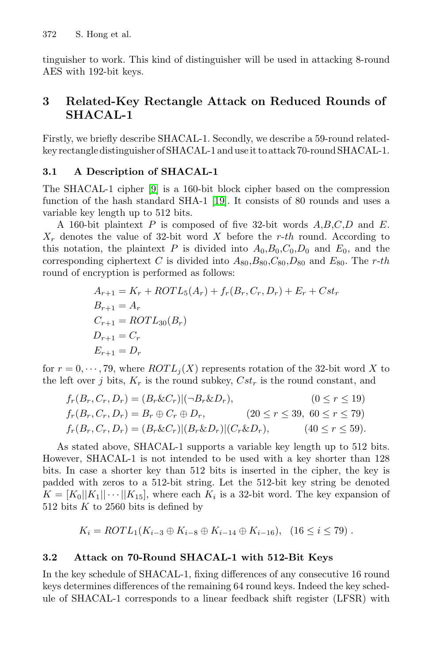tinguisher to work. This kind of distinguisher will be used in attacking 8-round AES with 192-bit keys.

## **3 Related-Key Rectangle Attack on Reduced Rounds of SHACAL-1**

Firstly, we briefly describe SHACAL-1. Secondly, we describe a 59-round relatedkey rectangle distinguisher of SHACAL-1 and use it to attack 70-round SHACAL-1.

### **3.1 A Description of SHACAL-1**

The SHACAL-1 cipher [\[9\]](#page-12-10) is a 160-bit block cipher based on the compression function of the hash standard SHA-1 [\[19\]](#page-13-8). It consists of 80 rounds and uses a variable key length up to 512 bits.

A 160-bit plaintext P is composed of five 32-bit words  $A, B, C, D$  and E.  $X_r$  denotes the value of 32-bit word X before the r-th round. According to this notation, the plaintext P is divided into  $A_0, B_0, C_0, D_0$  and  $E_0$ , and the corresponding ciphertext C is divided into  $A_{80}$ ,  $B_{80}$ ,  $C_{80}$ ,  $D_{80}$  and  $E_{80}$ . The r-th round of encryption is performed as follows:

$$
A_{r+1} = K_r + ROTL_5(A_r) + f_r(B_r, C_r, D_r) + E_r + Cst_r
$$
  
\n
$$
B_{r+1} = A_r
$$
  
\n
$$
C_{r+1} = ROTL_{30}(B_r)
$$
  
\n
$$
D_{r+1} = C_r
$$
  
\n
$$
E_{r+1} = D_r
$$

for  $r = 0, \dots, 79$ , where  $ROTL<sub>i</sub>(X)$  represents rotation of the 32-bit word X to the left over j bits,  $K_r$  is the round subkey,  $Cst_r$  is the round constant, and

$$
f_r(B_r, C_r, D_r) = (B_r \& C_r)|(-B_r \& D_r), \qquad (0 \le r \le 19)
$$
  
\n
$$
f_r(B_r, C_r, D_r) = B_r \oplus C_r \oplus D_r, \qquad (20 \le r \le 39, 60 \le r \le 79)
$$
  
\n
$$
f_r(B_r, C_r, D_r) = (B_r \& C_r)|(B_r \& D_r)|(C_r \& D_r), \qquad (40 \le r \le 59).
$$

As stated above, SHACAL-1 supports a variable key length up to 512 bits. However, SHACAL-1 is not intended to be used with a key shorter than 128 bits. In case a shorter key than 512 bits is inserted in the cipher, the key is padded with zeros to a 512-bit string. Let the 512-bit key string be denoted  $K = [K_0||K_1|| \cdots ||K_{15}],$  where each  $K_i$  is a 32-bit word. The key expansion of 512 bits  $K$  to 2560 bits is defined by

$$
K_i = ROTL_1(K_{i-3} \oplus K_{i-8} \oplus K_{i-14} \oplus K_{i-16}), \quad (16 \le i \le 79).
$$

### **3.2 Attack on 70-Round SHACAL-1 with 512-Bit Keys**

In the key schedule of SHACAL-1, fixing differences of any consecutive 16 round keys determines differences of the remaining 64 round keys. Indeed the key schedule of SHACAL-1 corresponds to a linear feedback shift register (LFSR) with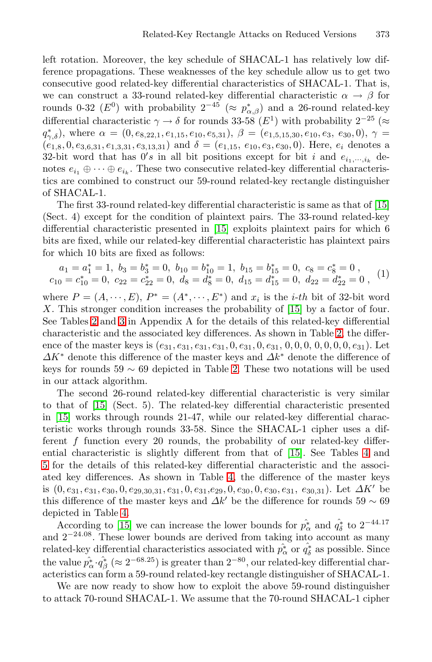left rotation. Moreover, the key schedule of SHACAL-1 has relatively low difference propagations. These weaknesses of the key schedule allow us to get two consecutive good related-key differential characteristics of SHACAL-1. That is, we can construct a 33-round related-key differential characteristic  $\alpha \to \beta$  for rounds 0-32 ( $E^0$ ) with probability  $2^{-45}$  ( $\approx p^*_{\alpha,\beta}$ ) and a 26-round related-key differential characteristic  $\gamma \to \delta$  for rounds 33-58 (E<sup>1</sup>) with probability 2<sup>-25</sup> (≈  $q^*_{\gamma,\delta}$ ), where  $\alpha = (0, e_{8,22,1}, e_{1,15}, e_{10}, e_{5,31}), \ \beta = (e_{1,5,15,30}, e_{10}, e_3, e_{30}, 0), \ \gamma =$  $(e_{1,8}, 0, e_{3,6,31}, e_{1,3,31}, e_{3,13,31})$  and  $\delta = (e_{1,15}, e_{10}, e_3, e_{30}, 0)$ . Here,  $e_i$  denotes a 32-bit word that has  $0's$  in all bit positions except for bit i and  $e_{i_1,\dots,i_k}$  denotes  $e_{i_1} \oplus \cdots \oplus e_{i_k}$ . These two consecutive related-key differential characteristics are combined to construct our 59-round related-key rectangle distinguisher of SHACAL-1.

The first 33-round related-key differential characteristic is same as that of [\[15\]](#page-13-5) (Sect. 4) except for the condition of plaintext pairs. The 33-round related-key differential characteristic presented in [\[15\]](#page-13-5) exploits plaintext pairs for which 6 bits are fixed, while our related-key differential characteristic has plaintext pairs for which 10 bits are fixed as follows:

$$
\begin{aligned}\na_1 &= a_1^* = 1, \ b_3 = b_3^* = 0, \ b_{10} = b_{10}^* = 1, \ b_{15} = b_{15}^* = 0, \ c_8 = c_8^* = 0, \\
c_{10} &= c_{10}^* = 0, \ c_{22} = c_{22}^* = 0, \ d_8 = d_8^* = 0, \ d_{15} = d_{15}^* = 0, \ d_{22} = d_{22}^* = 0,\n\end{aligned}
$$

<span id="page-5-0"></span>where  $P = (A, \dots, E), P^* = (A^*, \dots, E^*)$  and  $x_i$  is the *i-th* bit of 32-bit word X. This stronger condition increases the probability of [\[15\]](#page-13-5) by a factor of four. See Tables [2](#page-13-9) and [3](#page-14-0) in Appendix A for the details of this related-key differential characteristic and the associated key differences. As shown in Table [2,](#page-13-9) the difference of the master keys is  $(e_{31}, e_{31}, e_{31}, e_{31}, 0, e_{31}, 0, e_{31}, 0, 0, 0, 0, 0, 0, 0, e_{31})$ . Let  $\Delta K^*$  denote this difference of the master keys and  $\Delta k^*$  denote the difference of keys for rounds 59  $\sim$  69 depicted in Table [2.](#page-13-9) These two notations will be used in our attack algorithm.

The second 26-round related-key differential characteristic is very similar to that of [\[15\]](#page-13-5) (Sect. 5). The related-key differential characteristic presented in [\[15\]](#page-13-5) works through rounds 21-47, while our related-key differential characteristic works through rounds 33-58. Since the SHACAL-1 cipher uses a different  $f$  function every 20 rounds, the probability of our related-key differential characteristic is slightly different from that of [\[15\]](#page-13-5). See Tables [4](#page-14-1) and [5](#page-15-1) for the details of this related-key differential characteristic and the associated key differences. As shown in Table [4,](#page-14-1) the difference of the master keys is  $(0, e_{31}, e_{31}, e_{30}, 0, e_{29,30,31}, e_{31}, 0, e_{31}, e_{29}, 0, e_{30}, 0, e_{30}, e_{31}, e_{30,31})$ . Let  $\Delta K'$  be this difference of the master keys and  $\Delta k'$  be the difference for rounds 59  $\sim$  69 depicted in Table [4.](#page-14-1)

According to [\[15\]](#page-13-5) we can increase the lower bounds for  $\hat{p}_{\alpha}^{*}$  and  $\hat{q}_{\delta}^{*}$  to  $2^{-44.17}$ and 2−24.<sup>08</sup>. These lower bounds are derived from taking into account as many related-key differential characteristics associated with  $\hat{p}^*_{\alpha}$  or  $\hat{q}^*_{\delta}$  as possible. Since the value  $\hat{p}_{\alpha}^* \cdot \hat{q}_{\beta}^* \approx 2^{-68.25}$ ) is greater than  $2^{-80}$ , our related-key differential characteristics can form a 59-round related-key rectangle distinguisher of SHACAL-1.

We are now ready to show how to exploit the above 59-round distinguisher to attack 70-round SHACAL-1. We assume that the 70-round SHACAL-1 cipher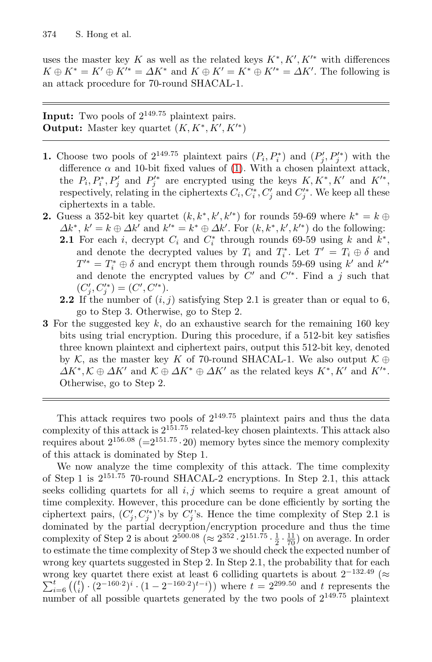uses the master key K as well as the related keys  $K^*, K', K'^*$  with differences  $K \oplus K^* = K' \oplus K'^* = \Delta K^*$  and  $K \oplus K' = K^* \oplus K'^* = \Delta K'$ . The following is an attack procedure for 70-round SHACAL-1.

**Input:** Two pools of 2<sup>149</sup>.<sup>75</sup> plaintext pairs. **Output:** Master key quartet  $(K, K^*, K', K'^*)$ 

- **1.** Choose two pools of  $2^{149.75}$  plaintext pairs  $(P_i, P_i^*)$  and  $(P_j', P_j'')$  with the difference  $\alpha$  and 10-bit fixed values of [\(1\)](#page-5-0). With a chosen plaintext attack, the  $P_i, P_i^*, P_j'$  and  $P_j'^*$  are encrypted using the keys  $K, K^*, K'$  and  $K'^*,$ respectively, relating in the ciphertexts  $C_i, C_i^*, C_j'$  and  $C_j'^*.$  We keep all these ciphertexts in a table.
- **2.** Guess a 352-bit key quartet  $(k, k^*, k', k'^*)$  for rounds 59-69 where  $k^* = k \oplus$  $\Delta k^*, k' = k \oplus \Delta k'$  and  $k'^* = k^* \oplus \Delta k'$ . For  $(k, k^*, k', k'^*)$  do the following:
	- **2.1** For each i, decrypt  $C_i$  and  $C_i^*$  through rounds 69-59 using k and  $k^*$ , and denote the decrypted values by  $T_i$  and  $T_i^*$ . Let  $T' = T_i \oplus \delta$  and  $T^{\prime *} = T_i^* \oplus \delta$  and encrypt them through rounds 59-69 using  $k^{\prime}$  and  $k^{\prime *}$ and denote the encrypted values by  $C'$  and  $C'^*$ . Find a j such that  $(C'_{j}, C'^{*}_{j}) = (C', C'^{*}).$
	- **2.2** If the number of  $(i, j)$  satisfying Step 2.1 is greater than or equal to 6, go to Step 3. Otherwise, go to Step 2.
- **3** For the suggested key k, do an exhaustive search for the remaining 160 key bits using trial encryption. During this procedure, if a 512-bit key satisfies three known plaintext and ciphertext pairs, output this 512-bit key, denoted by  $K$ , as the master key K of 70-round SHACAL-1. We also output  $K \oplus$  $\Delta K^*, \mathcal{K} \oplus \Delta K'$  and  $\mathcal{K} \oplus \Delta K^* \oplus \Delta K'$  as the related keys  $K^*, K'$  and  $K'^*.$ Otherwise, go to Step 2.

This attack requires two pools of  $2^{149.75}$  plaintext pairs and thus the data complexity of this attack is  $2^{151.75}$  related-key chosen plaintexts. This attack also requires about  $2^{156.08}$  (= $2^{151.75} \cdot 20$ ) memory bytes since the memory complexity of this attack is dominated by Step 1.

We now analyze the time complexity of this attack. The time complexity of Step 1 is  $2^{151.75}$  70-round SHACAL-2 encryptions. In Step 2.1, this attack seeks colliding quartets for all  $i, j$  which seems to require a great amount of time complexity. However, this procedure can be done efficiently by sorting the ciphertext pairs,  $(C_j', C_j'^*)$ 's by  $C_j'$ 's. Hence the time complexity of Step 2.1 is dominated by the partial decryption/encryption procedure and thus the time complexity of Step 2 is about  $2^{500.08}$  ( $\approx 2^{352} \cdot 2^{151.75} \cdot \frac{1}{2} \cdot \frac{11}{70}$ ) on average. In order to estimate the time complexity of Step 3 we should check the expected number of wrong key quartets suggested in Step 2. In Step 2.1, the probability that for each wrong key quartet there exist at least 6 colliding quartets is about  $2^{-132.49}$  ( $\approx$ <br> $\sum_{i=1}^{t}$  ( $\binom{t}{i}$ ,  $\frac{(2-160.2)i}{2}$ ,  $\frac{(1-2-160.2)i}{2}$ ) where  $t=2^{29.50}$  and t represents the  $\sum_{i=6}^{t} \binom{t}{i} \cdot (2^{-160\cdot 2})^{i} \cdot (1-2^{-160\cdot 2})^{t-i}$ ) where  $t=2^{299\cdot 50}$  and t represents the number of all possible quartets generated by the two pools of  $2^{149.75}$  plaintext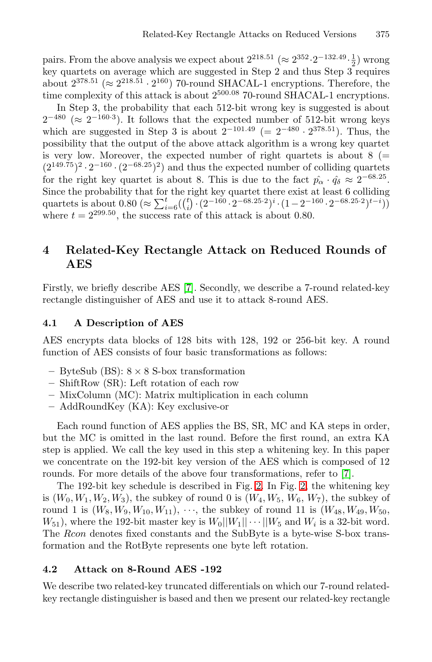pairs. From the above analysis we expect about  $2^{218.51}$  ( $\approx 2^{352} \cdot 2^{-132.49} \cdot \frac{1}{2}$ ) wrong key quartets on average which are suggested in Step 2 and thus Step 3 requires about  $2^{378.51}$  ( $\approx 2^{218.51} \cdot 2^{160}$ ) 70-round SHACAL-1 encryptions. Therefore, the time complexity of this attack is about  $2^{500.08}$  70-round SHACAL-1 encryptions.

In Step 3, the probability that each 512-bit wrong key is suggested is about  $2^{-480}$  (≈  $2^{-160.3}$ ). It follows that the expected number of 512-bit wrong keys which are suggested in Step 3 is about  $2^{-101.49}$  (=  $2^{-480} \cdot 2^{378.51}$ ). Thus, the possibility that the output of the above attack algorithm is a wrong key quartet is very low. Moreover, the expected number of right quartets is about  $8$  (=  $(2^{149.75})^2 \cdot 2^{-160} \cdot (2^{-68.25})^2$  and thus the expected number of colliding quartets for the right key quartet is about 8. This is due to the fact  $\hat{p}_{\alpha} \cdot \hat{q}_{\delta} \approx 2^{-68.25}$ . Since the probability that for the right key quartet there exist at least 6 colliding quartets is about  $0.80 \approx \sum_{i=6}^{t} \binom{t}{i} \cdot (2^{-160} \cdot 2^{-68.25.2})^i \cdot (1 - 2^{-160} \cdot 2^{-68.25.2})^{t-i})$ where  $t = 2^{299.50}$ , the success rate of this attack is about 0.80.

## **4 Related-Key Rectangle Attack on Reduced Rounds of AES**

Firstly, we briefly describe AES [\[7\]](#page-12-11). Secondly, we describe a 7-round related-key rectangle distinguisher of AES and use it to attack 8-round AES.

#### **4.1 A Description of AES**

AES encrypts data blocks of 128 bits with 128, 192 or 256-bit key. A round function of AES consists of four basic transformations as follows:

- **–** ByteSub (BS): 8 × 8 S-box transformation
- **–** ShiftRow (SR): Left rotation of each row
- **–** MixColumn (MC): Matrix multiplication in each column
- **–** AddRoundKey (KA): Key exclusive-or

Each round function of AES applies the BS, SR, MC and KA steps in order, but the MC is omitted in the last round. Before the first round, an extra KA step is applied. We call the key used in this step a whitening key. In this paper we concentrate on the 192-bit key version of the AES which is composed of 12 rounds. For more details of the above four transformations, refer to [\[7\]](#page-12-11).

The 192-bit key schedule is described in Fig. [2.](#page-8-0) In Fig. [2,](#page-8-0) the whitening key is  $(W_0, W_1, W_2, W_3)$ , the subkey of round 0 is  $(W_4, W_5, W_6, W_7)$ , the subkey of round 1 is  $(W_8, W_9, W_{10}, W_{11}), \cdots$ , the subkey of round 11 is  $(W_{48}, W_{49}, W_{50},$  $W_{51}$ ), where the 192-bit master key is  $W_0||W_1|| \cdots ||W_5$  and  $W_i$  is a 32-bit word. The Rcon denotes fixed constants and the SubByte is a byte-wise S-box transformation and the RotByte represents one byte left rotation.

#### **4.2 Attack on 8-Round AES -192**

We describe two related-key truncated differentials on which our 7-round relatedkey rectangle distinguisher is based and then we present our related-key rectangle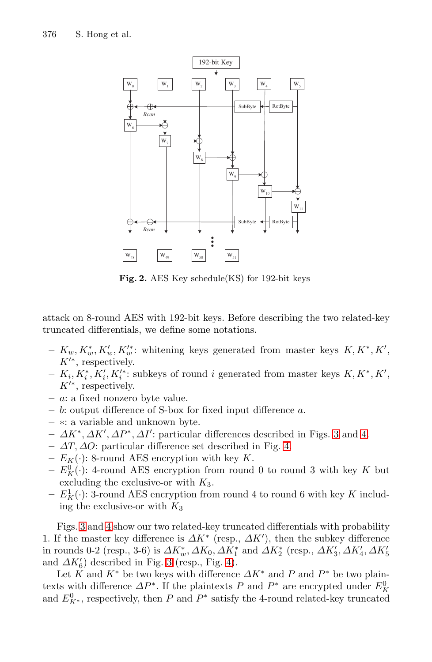

<span id="page-8-0"></span>**Fig. 2.** AES Key schedule(KS) for 192-bit keys

attack on 8-round AES with 192-bit keys. Before describing the two related-key truncated differentials, we define some notations.

- $-$  K<sub>w</sub>, K<sup>\*</sup><sub>w</sub>, K<sup>\*</sup><sub>w</sub>'. whitening keys generated from master keys K, K<sup>\*</sup>, K<sup>'</sup>,  $K'^*$ , respectively.
- **−**  $K_i$ ,  $K_i^*$ ,  $K_i'$ ,  $K_i'^*$ : subkeys of round *i* generated from master keys  $K, K^*, K'$ ,  $K^{\prime\ast}$ , respectively.
- **–** a: a fixed nonzero byte value.
- **–** b: output difference of S-box for fixed input difference a.
- **–** ∗: a variable and unknown byte.
- $\Delta K^*, \Delta K', \Delta P^*, \Delta I'$ : particular differences described in Figs. [3](#page-9-0) and [4.](#page-9-1)
- **–** ∆T, ∆O: particular difference set described in Fig. [4.](#page-9-1)
- $-E_K(\cdot)$ : 8-round AES encryption with key K.
- $-E_K^0(\cdot)$ : 4-round AES encryption from round 0 to round 3 with key K but excluding the exclusive-or with  $K_3$ .
- $E_K^1(\cdot)$ : 3-round AES encryption from round 4 to round 6 with key K including the exclusive-or with  $K_3$

Figs. [3](#page-9-0) and [4](#page-9-1) show our two related-key truncated differentials with probability 1. If the master key difference is  $\Delta K^*$  (resp.,  $\Delta K'$ ), then the subkey difference in rounds 0-2 (resp., 3-6) is  $\varDelta K_{w}^{*}$ ,  $\varDelta K_{0}$ ,  $\varDelta K_{1}^{*}$  and  $\varDelta K_{2}^{*}$  (resp.,  $\varDelta K_{3}',\varDelta K_{4}',\varDelta K_{5}'$ and  $\Delta K'_6$ ) described in Fig. [3](#page-9-0) (resp., Fig. [4\)](#page-9-1).

Let K and K<sup>\*</sup> be two keys with difference  $\Delta K^*$  and P and P<sup>\*</sup> be two plaintexts with difference  $\Delta P^*$ . If the plaintexts P and  $P^*$  are encrypted under  $E_K^0$ and  $E_{K^*}^0$ , respectively, then P and  $P^*$  satisfy the 4-round related-key truncated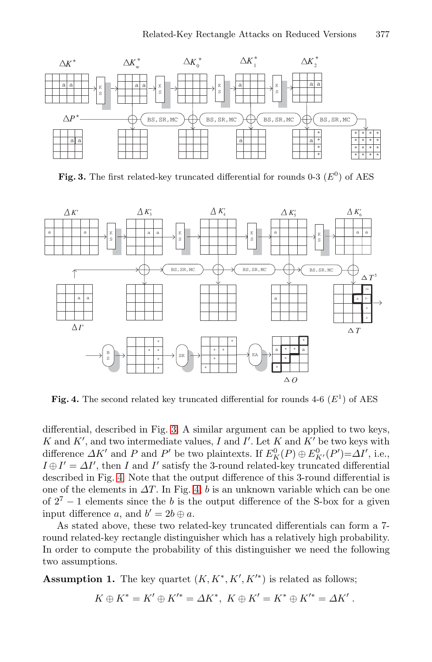

**Fig. 3.** The first related-key truncated differential for rounds  $0-3$  ( $E^0$ ) of AES

<span id="page-9-0"></span>

**Fig. 4.** The second related key truncated differential for rounds  $4-6$  ( $E<sup>1</sup>$ ) of AES

<span id="page-9-1"></span>differential, described in Fig. [3.](#page-9-0) A similar argument can be applied to two keys, K and  $K'$ , and two intermediate values, I and I'. Let K and  $K'$  be two keys with difference  $\Delta K'$  and P' be two plaintexts. If  $E_K^0(P) \oplus E_{K'}^0(P') = \Delta I'$ , i.e.,  $I \oplus I' = \Delta I'$ , then I and I' satisfy the 3-round related-key truncated differential described in Fig. [4.](#page-9-1) Note that the output difference of this 3-round differential is one of the elements in  $\Delta T$ . In Fig. [4,](#page-9-1) b is an unknown variable which can be one of  $2^7 - 1$  elements since the b is the output difference of the S-box for a given input difference a, and  $b' = 2b \oplus a$ .

As stated above, these two related-key truncated differentials can form a 7 round related-key rectangle distinguisher which has a relatively high probability. In order to compute the probability of this distinguisher we need the following two assumptions.

**Assumption 1.** The key quartet  $(K, K^*, K', K'^*)$  is related as follows;

$$
K\oplus K^*=K'\oplus K'^*=\varDelta K^*,\,\,K\oplus K'=K^*\oplus K'^*=\varDelta K'\;.
$$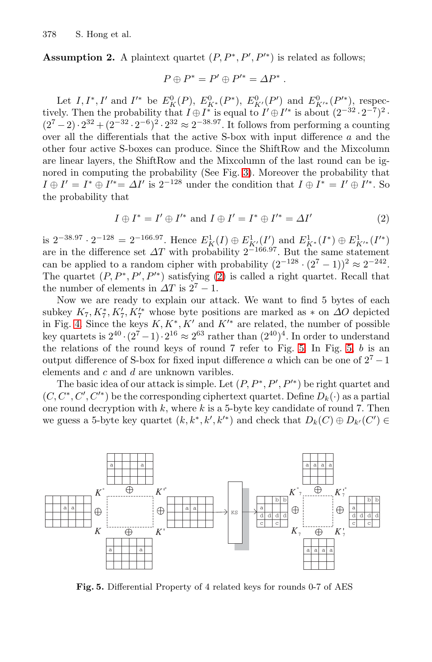**Assumption 2.** A plaintext quartet  $(P, P^*, P', P'^*)$  is related as follows;

$$
P\oplus P^*=P'\oplus P'^*=\varDelta P^*\;.
$$

Let  $I, I^*, I'$  and  $I'^*$  be  $E_K^0(P), E_{K^*}^0(P^*), E_{K'}^0(P')$  and  $E_{K'^*}^0(P'^*)$ , respectively. Then the probability that  $I \oplus I^*$  is equal to  $I' \oplus I'^*$  is about  $(2^{-32} \cdot 2^{-7})^2$ .  $(2^7-2)\cdot 2^{32}+(2^{-32}\cdot 2^{-6})^2\cdot 2^{32}\approx 2^{-38.97}$ . It follows from performing a counting over all the differentials that the active S-box with input difference a and the other four active S-boxes can produce. Since the ShiftRow and the Mixcolumn are linear layers, the ShiftRow and the Mixcolumn of the last round can be ignored in computing the probability (See Fig. [3\)](#page-9-0). Moreover the probability that  $I \oplus I' = I^* \oplus I'^* = \Delta I'$  is  $2^{-128}$  under the condition that  $I \oplus I^* = I' \oplus I'^*$ . So the probability that

$$
I \oplus I^* = I' \oplus I'^* \text{ and } I \oplus I' = I^* \oplus I'^* = \Delta I'
$$
 (2)

<span id="page-10-0"></span>is  $2^{-38.97} \cdot 2^{-128} = 2^{-166.97}$ . Hence  $E_K^1(I) \oplus E_{K'}^1(I')$  and  $E_{K^*}^1(I^*) \oplus E_{K'^*}^1(I'^*)$ are in the difference set  $\Delta T$  with probability  $2^{-166.97}$ . But the same statement can be applied to a random cipher with probability  $(2^{-128} \cdot (2^7 - 1))^2 \approx 2^{-242}$ . The quartet  $(P, P^*, P', P'^*)$  satisfying  $(2)$  is called a right quartet. Recall that the number of elements in  $\Delta T$  is  $2^7 - 1$ .

Now we are ready to explain our attack. We want to find 5 bytes of each subkey  $K_7, K_7^*, K_7'^*$  whose byte positions are marked as  $*$  on  $\Delta O$  depicted in Fig. [4.](#page-9-1) Since the keys  $K, K^*, K'$  and  $K'^*$  are related, the number of possible key quartets is  $2^{40} \cdot (2^7 - 1) \cdot 2^{16} \approx 2^{63}$  rather than  $(2^{40})^4$ . In order to understand the relations of the round keys of round  $7$  refer to Fig. [5.](#page-10-1) In Fig. [5,](#page-10-1)  $b$  is an output difference of S-box for fixed input difference a which can be one of  $2^7 - 1$ elements and c and d are unknown varibles.

The basic idea of our attack is simple. Let  $(P, P^*, P', P'^*)$  be right quartet and  $(C, C^*, C', C'^*)$  be the corresponding ciphertext quartet. Define  $D_k(\cdot)$  as a partial one round decryption with  $k$ , where  $k$  is a 5-byte key candidate of round 7. Then we guess a 5-byte key quartet  $(k, k^*, k', k'^*)$  and check that  $D_k(C) \oplus D_{k'}(C') \in$ 



<span id="page-10-1"></span>**Fig. 5.** Differential Property of 4 related keys for rounds 0-7 of AES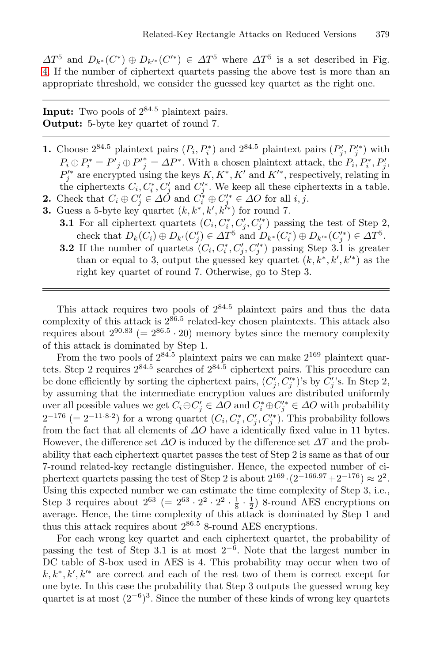$\Delta T^5$  and  $D_{k^*}(C^*)\oplus D_{k'^*}(C'^*)\in \Delta T^5$  where  $\Delta T^5$  is a set described in Fig. [4.](#page-9-1) If the number of ciphertext quartets passing the above test is more than an appropriate threshold, we consider the guessed key quartet as the right one.

**Input:** Two pools of  $2^{84.5}$  plaintext pairs. **Output:** 5-byte key quartet of round 7.

- **1.** Choose  $2^{84.5}$  plaintext pairs  $(P_i, P_i^*)$  and  $2^{84.5}$  plaintext pairs  $(P'_j, P'^*_j)$  with  $P_i \oplus P_i^* = P'_{j} \oplus P'_{j}^* = \Delta P^*$ . With a chosen plaintext attack, the  $P_i, P_i^*, P_j', P_j'$  are encrypted using the keys  $K, K^*, K'$  and  $K'^*$ , respectively, relating in the ciphertexts  $C_i, C_i^*, C_j'$  and  $C_j'^*$ . We keep all these ciphertexts in a table. **2.** Check that  $C_i \oplus C'_j \in \Delta O$  and  $C_i^* \oplus C_j'^* \in \Delta O$  for all  $i, j$ .
- **3.** Guess a 5-byte key quartet  $(k, k^*, k', k'^*)$  for round 7.
	- **3.1** For all ciphertext quartets  $(C_i, C_i^*, C_j', C_j'^*)$  passing the test of Step 2, check that  $D_k(C_i) \oplus D_{k'}(C'_j) \in \Delta T^5$  and  $D_{k^*}(C_i^*) \oplus D_{k'^*}(C_j'^*) \in \Delta T^5$ .
	- **3.2** If the number of quartets  $(C_i, C_i^*, C_j', C_j'^*)$  passing Step 3.1 is greater than or equal to 3, output the guessed key quartet  $(k, k^*, k', k'^*)$  as the right key quartet of round 7. Otherwise, go to Step 3.

This attack requires two pools of 2<sup>84</sup>.<sup>5</sup> plaintext pairs and thus the data complexity of this attack is  $2^{86.5}$  related-key chosen plaintexts. This attack also requires about  $2^{90.83}$  (=  $2^{86.5} \cdot 20$ ) memory bytes since the memory complexity of this attack is dominated by Step 1.

From the two pools of  $2^{84.5}$  plaintext pairs we can make  $2^{169}$  plaintext quartets. Step 2 requires  $2^{84.5}$  searches of  $2^{84.5}$  ciphertext pairs. This procedure can be done efficiently by sorting the ciphertext pairs,  $(C_j, C_j')$ 's by  $C_j'$ 's. In Step 2, by assuming that the intermediate encryption values are distributed uniformly over all possible values we get  $C_i \oplus C'_j \in \Delta O$  and  $C_i^* \oplus C_j'^* \in \Delta O$  with probability  $2^{-176}$  (=  $2^{-11\cdot8\cdot2}$ ) for a wrong quartet  $(C_i, C_i^*, C_j', C_j'^*)$ . This probability follows from the fact that all elements of  $\varDelta O$  have a identically fixed value in 11 bytes. However, the difference set  $\Delta O$  is induced by the difference set  $\Delta T$  and the probability that each ciphertext quartet passes the test of Step 2 is same as that of our 7-round related-key rectangle distinguisher. Hence, the expected number of ciphertext quartets passing the test of Step 2 is about  $2^{169} \cdot (2^{-166.97} + 2^{-176}) \approx 2^2$ . Using this expected number we can estimate the time complexity of Step 3, i.e., Step 3 requires about  $2^{63}$  (=  $2^{63} \cdot 2^2 \cdot 2^2 \cdot \frac{1}{8} \cdot \frac{1}{2}$ ) 8-round AES encryptions on average. Hence, the time complexity of this attack is dominated by Step 1 and thus this attack requires about  $2^{86.5}$  8-round AES encryptions.

For each wrong key quartet and each ciphertext quartet, the probability of passing the test of Step 3.1 is at most  $2^{-6}$ . Note that the largest number in DC table of S-box used in AES is 4. This probability may occur when two of  $k, k^*, k', k'^*$  are correct and each of the rest two of them is correct except for one byte. In this case the probability that Step 3 outputs the guessed wrong key quartet is at most  $(2^{-6})^3$ . Since the number of these kinds of wrong key quartets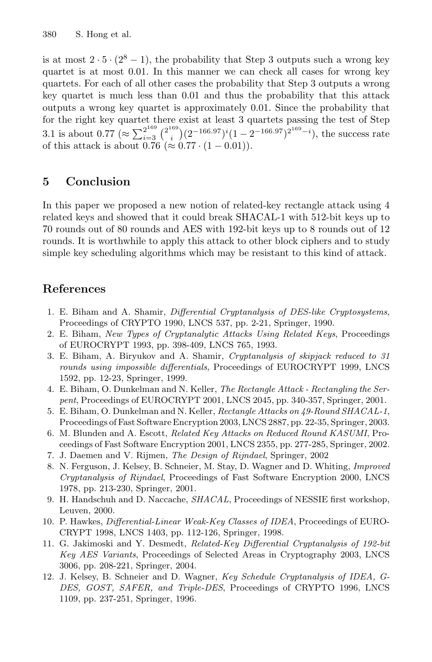is at most  $2 \cdot 5 \cdot (2^8 - 1)$ , the probability that Step 3 outputs such a wrong key quartet is at most 0.01. In this manner we can check all cases for wrong key quartets. For each of all other cases the probability that Step 3 outputs a wrong key quartet is much less than 0.01 and thus the probability that this attack outputs a wrong key quartet is approximately 0.01. Since the probability that for the right key quartet there exist at least 3 quartets passing the test of Step 3.1 is about 0.77 ( $\approx \sum_{i=3}^{2^{169}} {\binom{2^{169}}{i}} (2^{-166.97})^i (1-2^{-166.97})^{2^{169}-i}$ ), the success rate of this attack is about 0.76 (≈ 0.77 ·  $(1 - 0.01)$ ).

## **5 Conclusion**

In this paper we proposed a new notion of related-key rectangle attack using 4 related keys and showed that it could break SHACAL-1 with 512-bit keys up to 70 rounds out of 80 rounds and AES with 192-bit keys up to 8 rounds out of 12 rounds. It is worthwhile to apply this attack to other block ciphers and to study simple key scheduling algorithms which may be resistant to this kind of attack.

## <span id="page-12-0"></span>**References**

- 1. E. Biham and A. Shamir, Differential Cryptanalysis of DES-like Cryptosystems, Proceedings of CRYPTO 1990, LNCS 537, pp. 2-21, Springer, 1990.
- <span id="page-12-3"></span><span id="page-12-1"></span>2. E. Biham, New Types of Cryptanalytic Attacks Using Related Keys, Proceedings of EUROCRYPT 1993, pp. 398-409, LNCS 765, 1993.
- 3. E. Biham, A. Biryukov and A. Shamir, Cryptanalysis of skipjack reduced to 31 rounds using impossible differentials, Proceedings of EUROCRYPT 1999, LNCS 1592, pp. 12-23, Springer, 1999.
- <span id="page-12-8"></span><span id="page-12-2"></span>4. E. Biham, O. Dunkelman and N. Keller, The Rectangle Attack - Rectangling the Serpent, Proceedings of EUROCRYPT 2001, LNCS 2045, pp. 340-357, Springer, 2001.
- 5. E. Biham, O. Dunkelman and N. Keller, Rectangle Attacks on 49-Round SHACAL-1, Proceedings of Fast Software Encryption 2003, LNCS 2887, pp. 22-35, Springer, 2003.
- <span id="page-12-4"></span>6. M. Blunden and A. Escott, Related Key Attacks on Reduced Round KASUMI, Proceedings of Fast Software Encryption 2001, LNCS 2355, pp. 277-285, Springer, 2002.
- <span id="page-12-11"></span><span id="page-12-9"></span>7. J. Daemen and V. Rijmen, The Design of Rijndael, Springer, 2002
- 8. N. Ferguson, J. Kelsey, B. Schneier, M. Stay, D. Wagner and D. Whiting, Improved Cryptanalysis of Rijndael, Proceedings of Fast Software Encryption 2000, LNCS 1978, pp. 213-230, Springer, 2001.
- <span id="page-12-10"></span>9. H. Handschuh and D. Naccache, SHACAL, Proceedings of NESSIE first workshop, Leuven, 2000.
- <span id="page-12-6"></span>10. P. Hawkes, Differential-Linear Weak-Key Classes of IDEA, Proceedings of EURO-CRYPT 1998, LNCS 1403, pp. 112-126, Springer, 1998.
- <span id="page-12-7"></span>11. G. Jakimoski and Y. Desmedt, Related-Key Differential Cryptanalysis of 192-bit Key AES Variants, Proceedings of Selected Areas in Cryptography 2003, LNCS 3006, pp. 208-221, Springer, 2004.
- <span id="page-12-5"></span>12. J. Kelsey, B. Schneier and D. Wagner, Key Schedule Cryptanalysis of IDEA, G-DES, GOST, SAFER, and Triple-DES, Proceedings of CRYPTO 1996, LNCS 1109, pp. 237-251, Springer, 1996.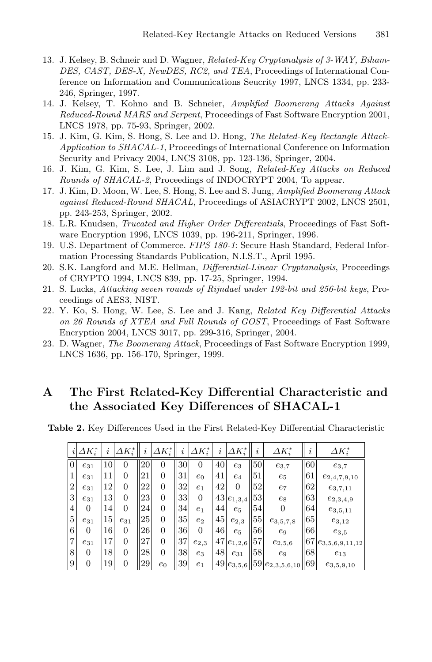- <span id="page-13-3"></span>13. J. Kelsey, B. Schneir and D. Wagner, Related-Key Cryptanalysis of 3-WAY, Biham-DES, CAST, DES-X, NewDES, RC2, and TEA, Proceedings of International Conference on Information and Communications Seucrity 1997, LNCS 1334, pp. 233- 246, Springer, 1997.
- <span id="page-13-4"></span>14. J. Kelsey, T. Kohno and B. Schneier, Amplified Boomerang Attacks Against Reduced-Round MARS and Serpent, Proceedings of Fast Software Encryption 2001, LNCS 1978, pp. 75-93, Springer, 2002.
- <span id="page-13-5"></span>15. J. Kim, G. Kim, S. Hong, S. Lee and D. Hong, The Related-Key Rectangle Attack-Application to SHACAL-1, Proceedings of International Conference on Information Security and Privacy 2004, LNCS 3108, pp. 123-136, Springer, 2004.
- 16. J. Kim, G. Kim, S. Lee, J. Lim and J. Song, Related-Key Attacks on Reduced Rounds of SHACAL-2, Proceedings of INDOCRYPT 2004, To appear.
- <span id="page-13-6"></span>17. J. Kim, D. Moon, W. Lee, S. Hong, S. Lee and S. Jung, Amplified Boomerang Attack against Reduced-Round SHACAL, Proceedings of ASIACRYPT 2002, LNCS 2501, pp. 243-253, Springer, 2002.
- <span id="page-13-0"></span>18. L.R. Knudsen, Trucated and Higher Order Differentials, Proceedings of Fast Software Encryption 1996, LNCS 1039, pp. 196-211, Springer, 1996.
- <span id="page-13-8"></span>19. U.S. Department of Commerce. FIPS 180-1: Secure Hash Standard, Federal Information Processing Standards Publication, N.I.S.T., April 1995.
- <span id="page-13-1"></span>20. S.K. Langford and M.E. Hellman, Differential-Linear Cryptanalysis, Proceedings of CRYPTO 1994, LNCS 839, pp. 17-25, Springer, 1994.
- <span id="page-13-7"></span>21. S. Lucks, Attacking seven rounds of Rijndael under 192-bit and 256-bit keys, Proceedings of AES3, NIST.
- 22. Y. Ko, S. Hong, W. Lee, S. Lee and J. Kang, Related Key Differential Attacks on 26 Rounds of XTEA and Full Rounds of GOST, Proceedings of Fast Software Encryption 2004, LNCS 3017, pp. 299-316, Springer, 2004.
- <span id="page-13-2"></span>23. D. Wagner, The Boomerang Attack, Proceedings of Fast Software Encryption 1999, LNCS 1636, pp. 156-170, Springer, 1999.

### **A The First Related-Key Differential Characteristic and the Associated Key Differences of SHACAL-1**

<span id="page-13-9"></span>**Table 2.** Key Differences Used in the First Related-Key Differential Characteristic

| $\dot{\imath}$ | $\Delta K_i^*$ | $\imath$ | $\varDelta K_i^*$ | $\boldsymbol{\eta}$ | $\varDelta K_i^*$ | i  | $\Delta K_i^*$ | i  | $\varDelta K_i^*$  | $\imath$ | $\varDelta K_i^*$                                             | $\imath$  | $\varDelta K_i^*$   |
|----------------|----------------|----------|-------------------|---------------------|-------------------|----|----------------|----|--------------------|----------|---------------------------------------------------------------|-----------|---------------------|
| $\overline{0}$ | $e_{31}$       | 10       | 0                 | 20                  | 0                 | 30 | 0              | 40 | $e_3$              | 50       | $e_{3,7}$                                                     | 60        | $e_{3,7}$           |
| 1              | $e_{31}$       | 11       | $\theta$          | 21                  | 0                 | 31 | $e_0$          | 41 | $e_4$              | 51       | $e_5$                                                         | 61        | $e_{2,4,7,9,10}$    |
| $\overline{2}$ | $e_{31}$       | 12       | $\theta$          | 22                  | $\overline{0}$    | 32 | $e_1$          | 42 | 0                  | 52       | $e_7$                                                         | 62        | $e_{3,7,11}$        |
| 3              | $e_{31}$       | 13       | $\overline{0}$    | 23                  | 0                 | 33 | $\Omega$       |    | $43 e_{1,3,4} $    | 53       | $e_8$                                                         | 63        | $e_{2,3,4,9}$       |
| 4              | 0              | 14       | $\theta$          | 24                  | 0                 | 34 | $e_1$          | 44 | $e_5$              | 54       | 0                                                             | 64        | $e_{3,5,11}$        |
| 5              | $e_{31}$       | 15       | $e_{31}$          | 25                  | $\overline{0}$    | 35 | $e_2$          | 45 | $e_{2,3}$          | 55       | $e_{3,5,7,8}$                                                 | 65        | $e_{3,12}$          |
| 6              | 0              | 16       | $\theta$          | 26                  | 0                 | 36 | $\Omega$       | 46 | $e_5$              | 56       | $e_9$                                                         | <b>66</b> | $e_{3,5}$           |
| 7              | $e_{31}$       | 17       | $\theta$          | 27                  | 0                 | 37 | $e_{2,3}$      |    | $47 e_{1,2,6} $ 57 |          | $e_{2,5,6}$                                                   | 67        | $e_{3,5,6,9,11,12}$ |
| 8              | 0              | 18       | $\theta$          | 28                  | 0                 | 38 | $e_3$          | 48 | $e_{31}$           | 58       | e9                                                            | 68        | $e_{13}$            |
| 9              |                | 19       | 0                 | 29                  | $e_0$             | 39 | $e_1$          |    |                    |          | $\ 49\ _{e_{3,5,6}}\ 59\ _{e_{2,3,5,6,10}}\ 69\ _{e_{3,5,6}}$ |           | $e_{3,5,9,10}$      |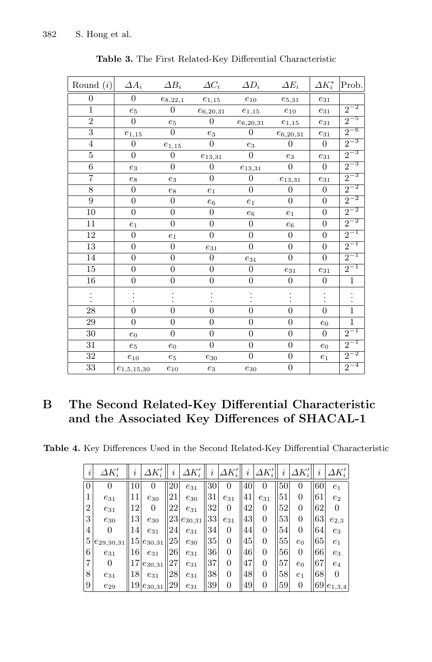<span id="page-14-0"></span>

| Round $(i)$     | $\Delta A_i$     | $\Delta B_i$     | $\varDelta C_i$     | $\Delta D_i$        | $\varDelta E_i$  | $\Delta K_i^*$      | Prob.          |
|-----------------|------------------|------------------|---------------------|---------------------|------------------|---------------------|----------------|
| 0               | $\theta$         | $e_{8,22,1}$     | $e_{1,15}$          | $e_{10}$            | $e_{5,31}$       | $e_{31}$            |                |
| $\mathbf{1}$    | $e_5$            | $\overline{0}$   | $e_{6,20,31}$       | $e_{1,15}$          | $e_{10}$         | $e_{31}$            | $2^{-2}$       |
| $\overline{2}$  | $\overline{0}$   | $e_5$            | $\overline{0}$      | $e_{6,20,31}$       | $e_{1,15}$       | $e_{31}$            | $2^{-5}$       |
| $\overline{3}$  | $e_{1,15}$       | $\overline{0}$   | $e_3$               | $\overline{0}$      | $e_{6,20,31}$    | $\mathfrak{e}_{31}$ | $2^{-6}$       |
| $\overline{4}$  | $\Omega$         | $e_{1,15}$       | $\overline{0}$      | $e_3$               | $\Omega$         | $\overline{0}$      | $2^{-3}$       |
| $\overline{5}$  | $\overline{0}$   | $\overline{0}$   | $e_{13,31}$         | $\boldsymbol{0}$    | $e_3$            | $\mathfrak{e}_{31}$ | $2^{-3}$       |
| 6               | $e_3$            | $\overline{0}$   | $\overline{0}$      | $e_{13,31}$         | $\boldsymbol{0}$ | $\overline{0}$      | $2^{-3}$       |
| $\overline{7}$  | $\mathfrak{e}_8$ | $e_3$            | $\overline{0}$      | $\boldsymbol{0}$    | $e_{13,31}$      | $e_{31}$            | $2^{-3}$       |
| 8               | $\boldsymbol{0}$ | $\mathfrak{e}_8$ | $e_1$               | $\boldsymbol{0}$    | $\boldsymbol{0}$ | $\boldsymbol{0}$    | $2^{-2}$       |
| 9               | $\overline{0}$   | $\boldsymbol{0}$ | $e_6$               | $e_1$               | $\overline{0}$   | $\boldsymbol{0}$    | $2^{-2}$       |
| 10              | $\overline{0}$   | $\overline{0}$   | $\overline{0}$      | $e_6$               | $e_1$            | $\overline{0}$      | $2^{-2}$       |
| 11              | $e_1$            | $\overline{0}$   | $\boldsymbol{0}$    | $\overline{0}$      | $e_6$            | $\overline{0}$      | $2^{-2}$       |
| 12              | $\overline{0}$   | $e_1$            | $\overline{0}$      | $\overline{0}$      | $\boldsymbol{0}$ | $\overline{0}$      | $2^{-1}$       |
| 13              | $\overline{0}$   | $\boldsymbol{0}$ | $\mathfrak{e}_{31}$ | $\overline{0}$      | $\boldsymbol{0}$ | $\overline{0}$      | $2^{-1}$       |
| 14              | $\overline{0}$   | $\boldsymbol{0}$ | $\boldsymbol{0}$    | $e_{31}$            | $\overline{0}$   | $\overline{0}$      | $2^{-1}$       |
| 15              | $\overline{0}$   | $\overline{0}$   | $\overline{0}$      | $\boldsymbol{0}$    | $e_{31}$         | $e_{31}$            | $2^{-1}$       |
| 16              | $\boldsymbol{0}$ | $\overline{0}$   | $\overline{0}$      | $\overline{0}$      | $\overline{0}$   | $\overline{0}$      | $\mathbf{1}$   |
|                 |                  |                  |                     |                     |                  |                     |                |
| 28              | $\overline{0}$   | $\overline{0}$   | $\overline{0}$      | $\overline{0}$      | $\overline{0}$   | $\overline{0}$      | $\mathbf{1}$   |
| 29              | $\overline{0}$   | $\overline{0}$   | $\overline{0}$      | $\overline{0}$      | $\overline{0}$   | $e_0$               | $\mathbf{1}$   |
| 30              | $e_0$            | $\overline{0}$   | $\overline{0}$      | $\overline{0}$      | $\overline{0}$   | $\theta$            | $2^{-1}$       |
| 31              | $e_5$            | $e_0$            | $\overline{0}$      | $\overline{0}$      | $\boldsymbol{0}$ | $e_0$               | $\overline{2}$ |
| 32              | $e_{10}$         | $e_5$            | $e_{30}$            | $\overline{0}$      | $\boldsymbol{0}$ | $e_1$               | $2^{-2}$       |
| $\overline{33}$ | $e_{1,5,15,30}$  | $e_{10}$         | $\mathfrak{e}_3$    | $\mathfrak{e}_{30}$ | $\boldsymbol{0}$ |                     | $2^{-4}$       |

**Table 3.** The First Related-Key Differential Characteristic

# **B The Second Related-Key Differential Characteristic and the Associated Key Differences of SHACAL-1**

<span id="page-14-1"></span>**Table 4.** Key Differences Used in the Second Related-Key Differential Characteristic

| $\dot{i}$      | $\varDelta K_i'$ | $\imath$ | $\varDelta K_i'$ | I, | $\varDelta K_i'$ | $\imath$ | $\varDelta K_i'$ | $\imath$ | $\varDelta K_i'$ | i  | $\varDelta K_i'$ | $\imath$ | $\varDelta K_i'$ |
|----------------|------------------|----------|------------------|----|------------------|----------|------------------|----------|------------------|----|------------------|----------|------------------|
| $\theta$       | $\Omega$         | 10       | 0                | 20 | $e_{31}$         | 30       | $\theta$         | 40       | $\theta$         | 50 | $^{(1)}$         | 60       | e <sub>1</sub>   |
| 1              | $e_{31}$         | 11       | $e_{30}$         | 21 | $e_{30}$         | 31       | $e_{31}$         | 41       | $e_{31}$         | 51 | 0                | 61       | $e_2$            |
| $\overline{2}$ | $e_{31}$         | 12       | 0                | 22 | $e_{31}$         | 32       | $\theta$         | 42       | $\theta$         | 52 | $\overline{0}$   | 62       |                  |
| 3              | $e_{30}$         | 13       | $e_{30}$         | 23 | $e_{30,31}$      | 33       | $e_{31}$         | 43       | $\theta$         | 53 | $\overline{0}$   | 63       | $e_{2,3}$        |
| 4              | 0                | 14       | $e_{31}$         | 24 | $e_{31}$         | 34       | $\theta$         | 44       | $\theta$         | 54 | $\overline{0}$   | 64       | $e_3$            |
| 5              | $e_{29,30,31}$   |          | $15e_{30,31}$    | 25 | $e_{30}$         | 35       | 0                | 45       | 0                | 55 | $e_0$            | 65       | $e_1$            |
| 6              | $e_{31}$         | 16       | $e_{31}$         | 26 | $e_{31}$         | 36       | 0                | 46       | 0                | 56 | $\overline{0}$   | 66       | $e_3$            |
| $\overline{7}$ | 0                | 17       | $e_{30,31}$      | 27 | $e_{31}$         | 37       | 0                | 47       | 0                | 57 | $e_0$            | 67       | $e_4$            |
| 8              | $e_{31}$         | 18       | $e_{31}$         | 28 | $e_{31}$         | 38       | $\theta$         | 48       | 0                | 58 | $e_1$            | 68       |                  |
| 9              | $e_{29}$         | 19       | $e_{30,31}$      | 29 | $e_{31}$         | 39       | 0                | 49       | 0                | 59 | $\overline{0}$   | 69       | $e_{1,3,4}$      |